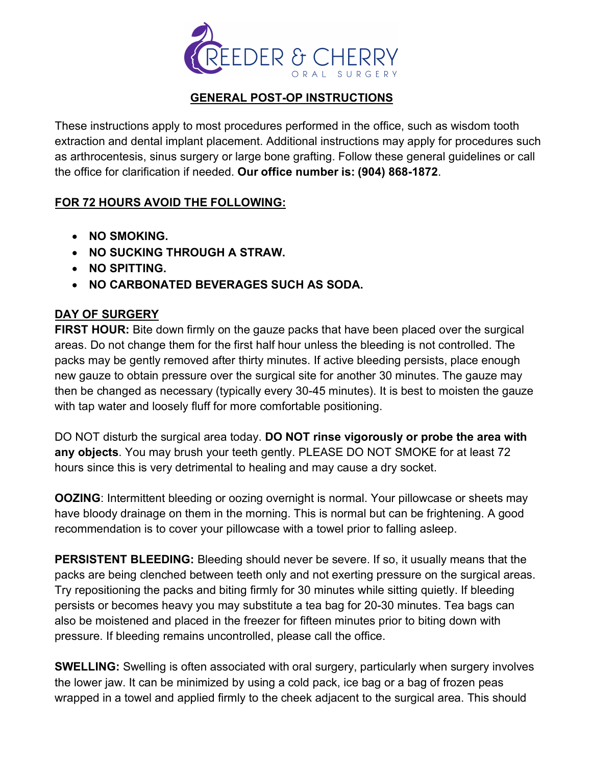

## **GENERAL POST-OP INSTRUCTIONS**

These instructions apply to most procedures performed in the office, such as wisdom tooth extraction and dental implant placement. Additional instructions may apply for procedures such as arthrocentesis, sinus surgery or large bone grafting. Follow these general guidelines or call the office for clarification if needed. **Our office number is: (904) 868-1872**.

## **FOR 72 HOURS AVOID THE FOLLOWING:**

- **NO SMOKING.**
- **NO SUCKING THROUGH A STRAW.**
- **NO SPITTING.**
- **NO CARBONATED BEVERAGES SUCH AS SODA.**

## **DAY OF SURGERY**

**FIRST HOUR:** Bite down firmly on the gauze packs that have been placed over the surgical areas. Do not change them for the first half hour unless the bleeding is not controlled. The packs may be gently removed after thirty minutes. If active bleeding persists, place enough new gauze to obtain pressure over the surgical site for another 30 minutes. The gauze may then be changed as necessary (typically every 30-45 minutes). It is best to moisten the gauze with tap water and loosely fluff for more comfortable positioning.

DO NOT disturb the surgical area today. **DO NOT rinse vigorously or probe the area with any objects**. You may brush your teeth gently. PLEASE DO NOT SMOKE for at least 72 hours since this is very detrimental to healing and may cause a dry socket.

**OOZING:** Intermittent bleeding or oozing overnight is normal. Your pillowcase or sheets may have bloody drainage on them in the morning. This is normal but can be frightening. A good recommendation is to cover your pillowcase with a towel prior to falling asleep.

**PERSISTENT BLEEDING:** Bleeding should never be severe. If so, it usually means that the packs are being clenched between teeth only and not exerting pressure on the surgical areas. Try repositioning the packs and biting firmly for 30 minutes while sitting quietly. If bleeding persists or becomes heavy you may substitute a tea bag for 20-30 minutes. Tea bags can also be moistened and placed in the freezer for fifteen minutes prior to biting down with pressure. If bleeding remains uncontrolled, please call the office.

**SWELLING:** Swelling is often associated with oral surgery, particularly when surgery involves the lower jaw. It can be minimized by using a cold pack, ice bag or a bag of frozen peas wrapped in a towel and applied firmly to the cheek adjacent to the surgical area. This should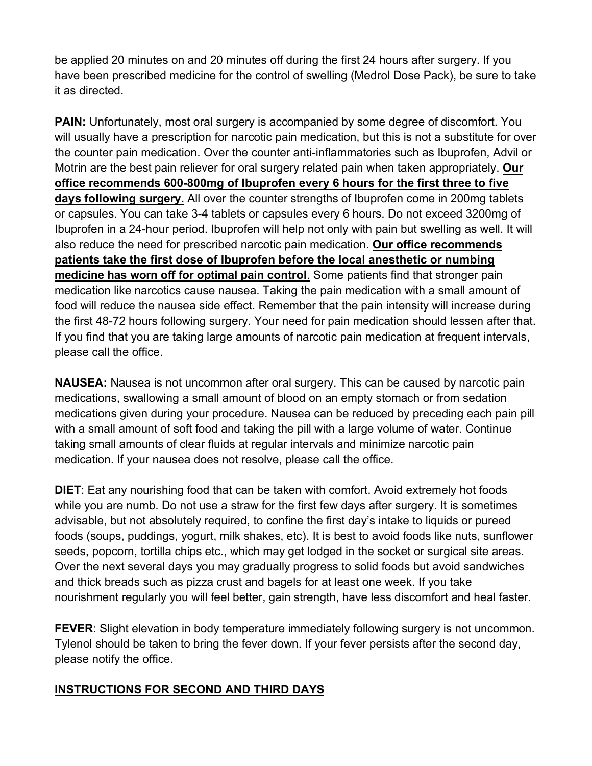be applied 20 minutes on and 20 minutes off during the first 24 hours after surgery. If you have been prescribed medicine for the control of swelling (Medrol Dose Pack), be sure to take it as directed.

**PAIN:** Unfortunately, most oral surgery is accompanied by some degree of discomfort. You will usually have a prescription for narcotic pain medication, but this is not a substitute for over the counter pain medication. Over the counter anti-inflammatories such as Ibuprofen, Advil or Motrin are the best pain reliever for oral surgery related pain when taken appropriately. **Our office recommends 600-800mg of Ibuprofen every 6 hours for the first three to five days following surgery.** All over the counter strengths of Ibuprofen come in 200mg tablets or capsules. You can take 3-4 tablets or capsules every 6 hours. Do not exceed 3200mg of Ibuprofen in a 24-hour period. Ibuprofen will help not only with pain but swelling as well. It will also reduce the need for prescribed narcotic pain medication. **Our office recommends patients take the first dose of Ibuprofen before the local anesthetic or numbing medicine has worn off for optimal pain control**. Some patients find that stronger pain medication like narcotics cause nausea. Taking the pain medication with a small amount of food will reduce the nausea side effect. Remember that the pain intensity will increase during the first 48-72 hours following surgery. Your need for pain medication should lessen after that. If you find that you are taking large amounts of narcotic pain medication at frequent intervals, please call the office.

**NAUSEA:** Nausea is not uncommon after oral surgery. This can be caused by narcotic pain medications, swallowing a small amount of blood on an empty stomach or from sedation medications given during your procedure. Nausea can be reduced by preceding each pain pill with a small amount of soft food and taking the pill with a large volume of water. Continue taking small amounts of clear fluids at regular intervals and minimize narcotic pain medication. If your nausea does not resolve, please call the office.

**DIET**: Eat any nourishing food that can be taken with comfort. Avoid extremely hot foods while you are numb. Do not use a straw for the first few days after surgery. It is sometimes advisable, but not absolutely required, to confine the first day's intake to liquids or pureed foods (soups, puddings, yogurt, milk shakes, etc). It is best to avoid foods like nuts, sunflower seeds, popcorn, tortilla chips etc., which may get lodged in the socket or surgical site areas. Over the next several days you may gradually progress to solid foods but avoid sandwiches and thick breads such as pizza crust and bagels for at least one week. If you take nourishment regularly you will feel better, gain strength, have less discomfort and heal faster.

**FEVER:** Slight elevation in body temperature immediately following surgery is not uncommon. Tylenol should be taken to bring the fever down. If your fever persists after the second day, please notify the office.

## **INSTRUCTIONS FOR SECOND AND THIRD DAYS**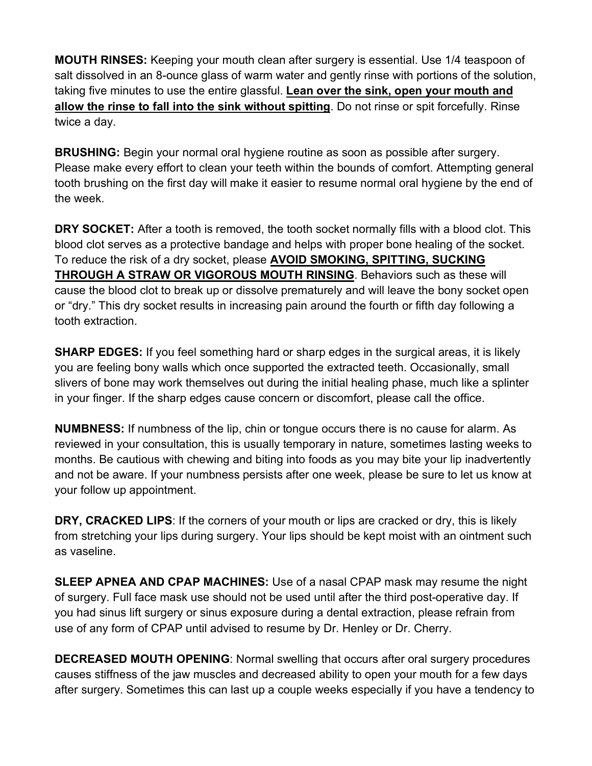**MOUTH RINSES:** Keeping your mouth clean after surgery is essential. Use 1/4 teaspoon of salt dissolved in an 8-ounce glass of warm water and gently rinse with portions of the solution, taking five minutes to use the entire glassful. **Lean over the sink, open your mouth and allow the rinse to fall into the sink without spitting**. Do not rinse or spit forcefully. Rinse twice a day.

**BRUSHING:** Begin your normal oral hygiene routine as soon as possible after surgery. Please make every effort to clean your teeth within the bounds of comfort. Attempting general tooth brushing on the first day will make it easier to resume normal oral hygiene by the end of the week.

**DRY SOCKET:** After a tooth is removed, the tooth socket normally fills with a blood clot. This blood clot serves as a protective bandage and helps with proper bone healing of the socket. To reduce the risk of a dry socket, please **AVOID SMOKING, SPITTING, SUCKING THROUGH A STRAW OR VIGOROUS MOUTH RINSING**. Behaviors such as these will cause the blood clot to break up or dissolve prematurely and will leave the bony socket open or "dry." This dry socket results in increasing pain around the fourth or fifth day following a tooth extraction.

**SHARP EDGES:** If you feel something hard or sharp edges in the surgical areas, it is likely you are feeling bony walls which once supported the extracted teeth. Occasionally, small slivers of bone may work themselves out during the initial healing phase, much like a splinter in your finger. If the sharp edges cause concern or discomfort, please call the office.

**NUMBNESS:** If numbness of the lip, chin or tongue occurs there is no cause for alarm. As reviewed in your consultation, this is usually temporary in nature, sometimes lasting weeks to months. Be cautious with chewing and biting into foods as you may bite your lip inadvertently and not be aware. If your numbness persists after one week, please be sure to let us know at your follow up appointment.

**DRY, CRACKED LIPS**: If the corners of your mouth or lips are cracked or dry, this is likely from stretching your lips during surgery. Your lips should be kept moist with an ointment such as vaseline.

**SLEEP APNEA AND CPAP MACHINES:** Use of a nasal CPAP mask may resume the night of surgery. Full face mask use should not be used until after the third post-operative day. If you had sinus lift surgery or sinus exposure during a dental extraction, please refrain from use of any form of CPAP until advised to resume by Dr. Henley or Dr. Cherry.

**DECREASED MOUTH OPENING**: Normal swelling that occurs after oral surgery procedures causes stiffness of the jaw muscles and decreased ability to open your mouth for a few days after surgery. Sometimes this can last up a couple weeks especially if you have a tendency to